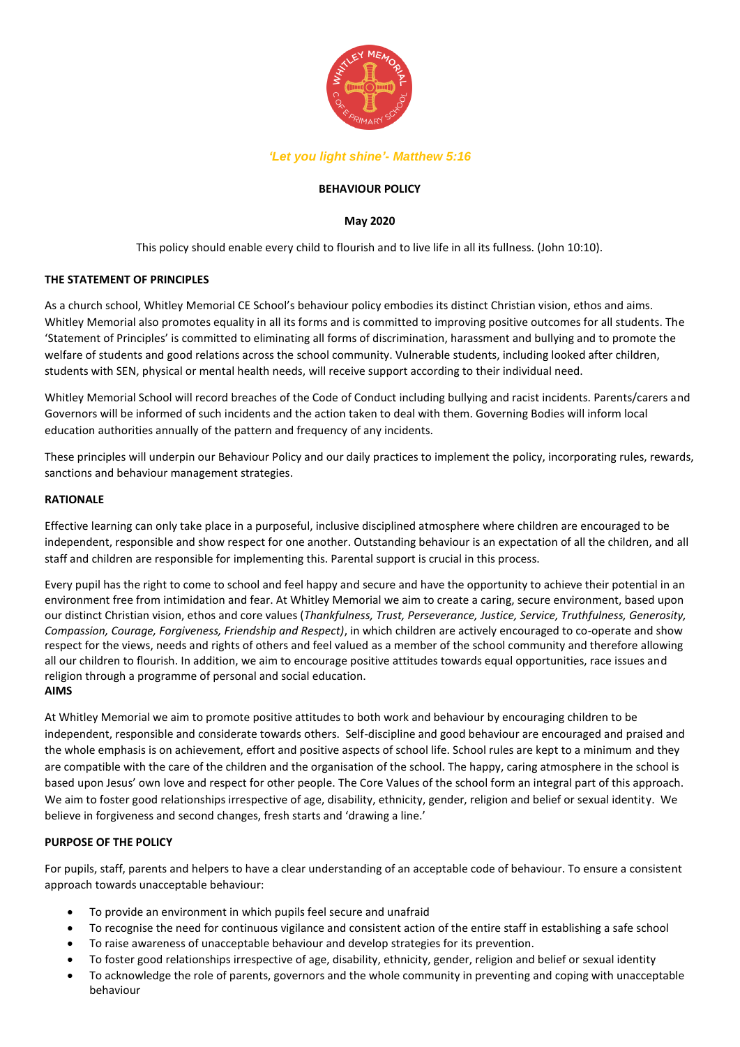

## *'Let you light shine'- Matthew 5:16*

## **BEHAVIOUR POLICY**

## **May 2020**

This policy should enable every child to flourish and to live life in all its fullness. (John 10:10).

## **THE STATEMENT OF PRINCIPLES**

As a church school, Whitley Memorial CE School's behaviour policy embodies its distinct Christian vision, ethos and aims. Whitley Memorial also promotes equality in all its forms and is committed to improving positive outcomes for all students. The 'Statement of Principles' is committed to eliminating all forms of discrimination, harassment and bullying and to promote the welfare of students and good relations across the school community. Vulnerable students, including looked after children, students with SEN, physical or mental health needs, will receive support according to their individual need.

Whitley Memorial School will record breaches of the Code of Conduct including bullying and racist incidents. Parents/carers and Governors will be informed of such incidents and the action taken to deal with them. Governing Bodies will inform local education authorities annually of the pattern and frequency of any incidents.

These principles will underpin our Behaviour Policy and our daily practices to implement the policy, incorporating rules, rewards, sanctions and behaviour management strategies.

#### **RATIONALE**

Effective learning can only take place in a purposeful, inclusive disciplined atmosphere where children are encouraged to be independent, responsible and show respect for one another. Outstanding behaviour is an expectation of all the children, and all staff and children are responsible for implementing this. Parental support is crucial in this process.

Every pupil has the right to come to school and feel happy and secure and have the opportunity to achieve their potential in an environment free from intimidation and fear. At Whitley Memorial we aim to create a caring, secure environment, based upon our distinct Christian vision, ethos and core values (*Thankfulness, Trust, Perseverance, Justice, Service, Truthfulness, Generosity, Compassion, Courage, Forgiveness, Friendship and Respect)*, in which children are actively encouraged to co-operate and show respect for the views, needs and rights of others and feel valued as a member of the school community and therefore allowing all our children to flourish. In addition, we aim to encourage positive attitudes towards equal opportunities, race issues and religion through a programme of personal and social education. **AIMS** 

At Whitley Memorial we aim to promote positive attitudes to both work and behaviour by encouraging children to be independent, responsible and considerate towards others. Self-discipline and good behaviour are encouraged and praised and the whole emphasis is on achievement, effort and positive aspects of school life. School rules are kept to a minimum and they are compatible with the care of the children and the organisation of the school. The happy, caring atmosphere in the school is based upon Jesus' own love and respect for other people. The Core Values of the school form an integral part of this approach. We aim to foster good relationships irrespective of age, disability, ethnicity, gender, religion and belief or sexual identity. We believe in forgiveness and second changes, fresh starts and 'drawing a line.'

## **PURPOSE OF THE POLICY**

For pupils, staff, parents and helpers to have a clear understanding of an acceptable code of behaviour. To ensure a consistent approach towards unacceptable behaviour:

- To provide an environment in which pupils feel secure and unafraid
- To recognise the need for continuous vigilance and consistent action of the entire staff in establishing a safe school
- To raise awareness of unacceptable behaviour and develop strategies for its prevention.
- To foster good relationships irrespective of age, disability, ethnicity, gender, religion and belief or sexual identity
- To acknowledge the role of parents, governors and the whole community in preventing and coping with unacceptable behaviour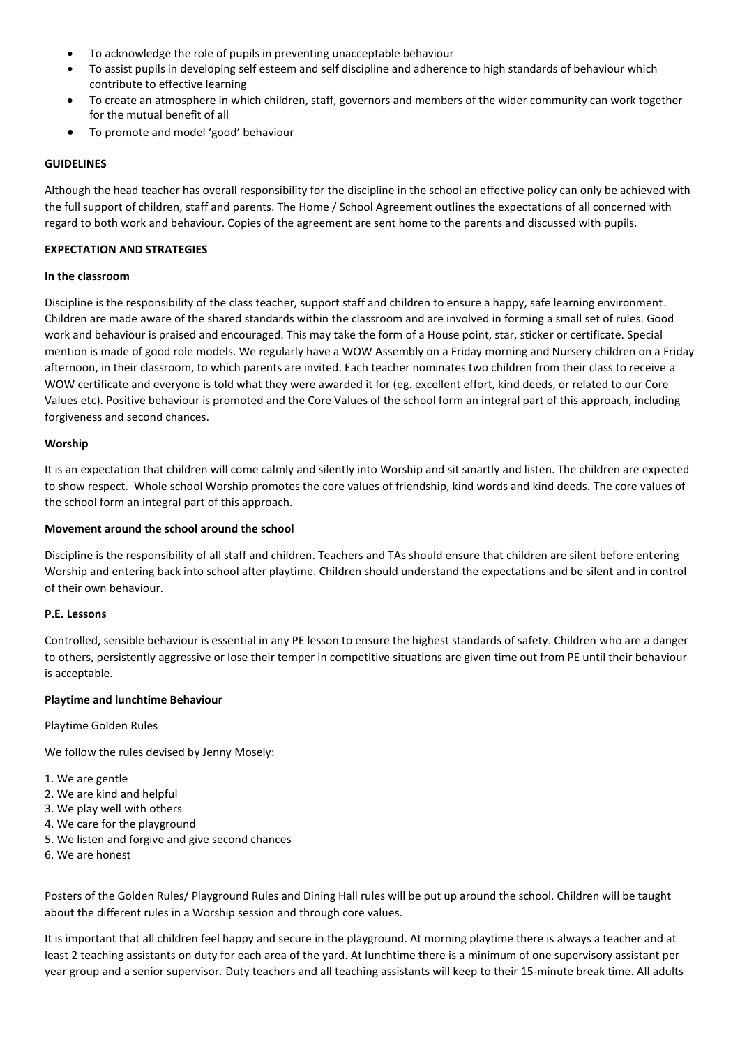- To acknowledge the role of pupils in preventing unacceptable behaviour
- To assist pupils in developing self esteem and self discipline and adherence to high standards of behaviour which contribute to effective learning
- To create an atmosphere in which children, staff, governors and members of the wider community can work together for the mutual benefit of all
- To promote and model 'good' behaviour

### **GUIDELINES**

Although the head teacher has overall responsibility for the discipline in the school an effective policy can only be achieved with the full support of children, staff and parents. The Home / School Agreement outlines the expectations of all concerned with regard to both work and behaviour. Copies of the agreement are sent home to the parents and discussed with pupils.

### **EXPECTATION AND STRATEGIES**

#### **In the classroom**

Discipline is the responsibility of the class teacher, support staff and children to ensure a happy, safe learning environment. Children are made aware of the shared standards within the classroom and are involved in forming a small set of rules. Good work and behaviour is praised and encouraged. This may take the form of a House point, star, sticker or certificate. Special mention is made of good role models. We regularly have a WOW Assembly on a Friday morning and Nursery children on a Friday afternoon, in their classroom, to which parents are invited. Each teacher nominates two children from their class to receive a WOW certificate and everyone is told what they were awarded it for (eg. excellent effort, kind deeds, or related to our Core Values etc). Positive behaviour is promoted and the Core Values of the school form an integral part of this approach, including forgiveness and second chances.

#### **Worship**

It is an expectation that children will come calmly and silently into Worship and sit smartly and listen. The children are expected to show respect. Whole school Worship promotes the core values of friendship, kind words and kind deeds. The core values of the school form an integral part of this approach.

#### **Movement around the school around the school**

Discipline is the responsibility of all staff and children. Teachers and TAs should ensure that children are silent before entering Worship and entering back into school after playtime. Children should understand the expectations and be silent and in control of their own behaviour.

#### **P.E. Lessons**

Controlled, sensible behaviour is essential in any PE lesson to ensure the highest standards of safety. Children who are a danger to others, persistently aggressive or lose their temper in competitive situations are given time out from PE until their behaviour is acceptable.

### **Playtime and lunchtime Behaviour**

Playtime Golden Rules

We follow the rules devised by Jenny Mosely:

- 1. We are gentle
- 2. We are kind and helpful
- 3. We play well with others
- 4. We care for the playground
- 5. We listen and forgive and give second chances
- 6. We are honest

Posters of the Golden Rules/ Playground Rules and Dining Hall rules will be put up around the school. Children will be taught about the different rules in a Worship session and through core values.

It is important that all children feel happy and secure in the playground. At morning playtime there is always a teacher and at least 2 teaching assistants on duty for each area of the yard. At lunchtime there is a minimum of one supervisory assistant per year group and a senior supervisor. Duty teachers and all teaching assistants will keep to their 15-minute break time. All adults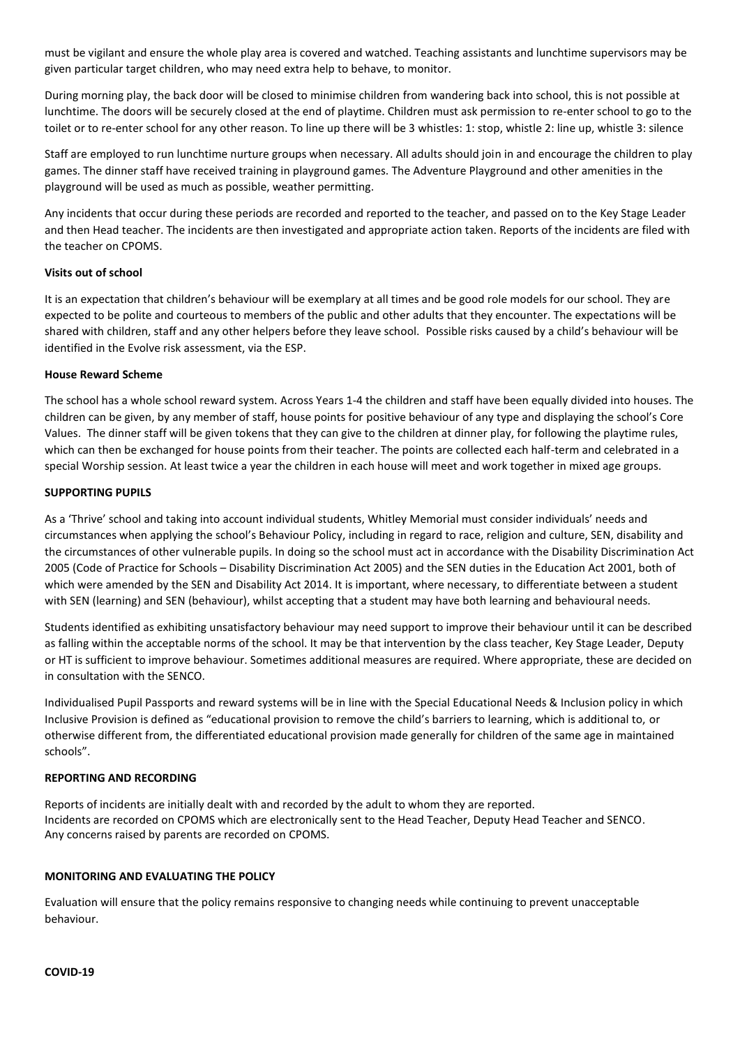must be vigilant and ensure the whole play area is covered and watched. Teaching assistants and lunchtime supervisors may be given particular target children, who may need extra help to behave, to monitor.

During morning play, the back door will be closed to minimise children from wandering back into school, this is not possible at lunchtime. The doors will be securely closed at the end of playtime. Children must ask permission to re-enter school to go to the toilet or to re-enter school for any other reason. To line up there will be 3 whistles: 1: stop, whistle 2: line up, whistle 3: silence

Staff are employed to run lunchtime nurture groups when necessary. All adults should join in and encourage the children to play games. The dinner staff have received training in playground games. The Adventure Playground and other amenities in the playground will be used as much as possible, weather permitting.

Any incidents that occur during these periods are recorded and reported to the teacher, and passed on to the Key Stage Leader and then Head teacher. The incidents are then investigated and appropriate action taken. Reports of the incidents are filed with the teacher on CPOMS.

## **Visits out of school**

It is an expectation that children's behaviour will be exemplary at all times and be good role models for our school. They are expected to be polite and courteous to members of the public and other adults that they encounter. The expectations will be shared with children, staff and any other helpers before they leave school. Possible risks caused by a child's behaviour will be identified in the Evolve risk assessment, via the ESP.

## **House Reward Scheme**

The school has a whole school reward system. Across Years 1-4 the children and staff have been equally divided into houses. The children can be given, by any member of staff, house points for positive behaviour of any type and displaying the school's Core Values. The dinner staff will be given tokens that they can give to the children at dinner play, for following the playtime rules, which can then be exchanged for house points from their teacher. The points are collected each half-term and celebrated in a special Worship session. At least twice a year the children in each house will meet and work together in mixed age groups.

## **SUPPORTING PUPILS**

As a 'Thrive' school and taking into account individual students, Whitley Memorial must consider individuals' needs and circumstances when applying the school's Behaviour Policy, including in regard to race, religion and culture, SEN, disability and the circumstances of other vulnerable pupils. In doing so the school must act in accordance with the Disability Discrimination Act 2005 (Code of Practice for Schools – Disability Discrimination Act 2005) and the SEN duties in the Education Act 2001, both of which were amended by the SEN and Disability Act 2014. It is important, where necessary, to differentiate between a student with SEN (learning) and SEN (behaviour), whilst accepting that a student may have both learning and behavioural needs.

Students identified as exhibiting unsatisfactory behaviour may need support to improve their behaviour until it can be described as falling within the acceptable norms of the school. It may be that intervention by the class teacher, Key Stage Leader, Deputy or HT is sufficient to improve behaviour. Sometimes additional measures are required. Where appropriate, these are decided on in consultation with the SENCO.

Individualised Pupil Passports and reward systems will be in line with the Special Educational Needs & Inclusion policy in which Inclusive Provision is defined as "educational provision to remove the child's barriers to learning, which is additional to, or otherwise different from, the differentiated educational provision made generally for children of the same age in maintained schools".

## **REPORTING AND RECORDING**

Reports of incidents are initially dealt with and recorded by the adult to whom they are reported. Incidents are recorded on CPOMS which are electronically sent to the Head Teacher, Deputy Head Teacher and SENCO. Any concerns raised by parents are recorded on CPOMS.

# **MONITORING AND EVALUATING THE POLICY**

Evaluation will ensure that the policy remains responsive to changing needs while continuing to prevent unacceptable behaviour.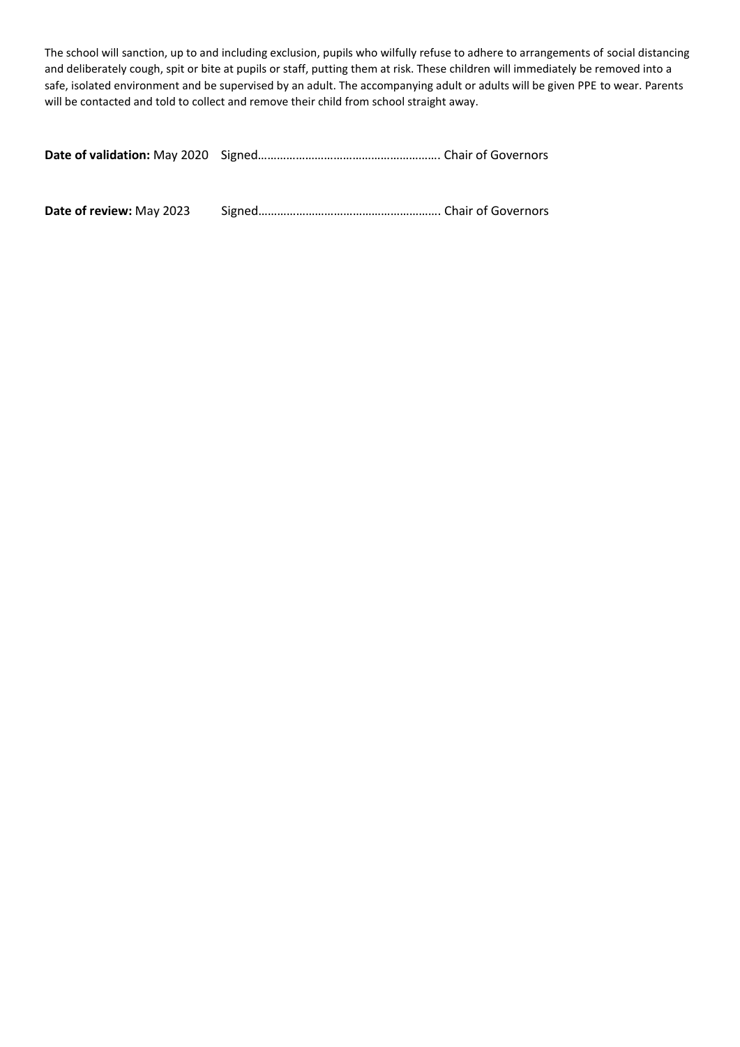The school will sanction, up to and including exclusion, pupils who wilfully refuse to adhere to arrangements of social distancing and deliberately cough, spit or bite at pupils or staff, putting them at risk. These children will immediately be removed into a safe, isolated environment and be supervised by an adult. The accompanying adult or adults will be given PPE to wear. Parents will be contacted and told to collect and remove their child from school straight away.

|--|--|--|

**Date of review:** May 2023 Signed…………………………………………………. Chair of Governors